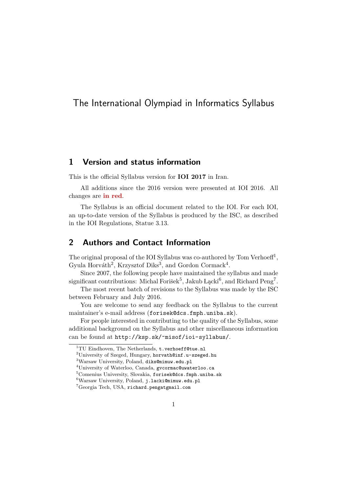# The International Olympiad in Informatics Syllabus

# 1 Version and status information

This is the official Syllabus version for IOI 2017 in Iran.

All additions since the 2016 version were presented at IOI 2016. All changes are in red.

The Syllabus is an official document related to the IOI. For each IOI, an up-to-date version of the Syllabus is produced by the ISC, as described in the IOI Regulations, Statue 3.13.

# 2 Authors and Contact Information

The original proposal of the IOI Syllabus was co-authored by Tom Verhoeff<sup>1</sup>, Gyula Horváth<sup>2</sup>, Krzysztof Diks<sup>3</sup>, and Gordon Cormack<sup>4</sup>.

Since 2007, the following people have maintained the syllabus and made significant contributions: Michal Forišek<sup>5</sup>, Jakub Lącki<sup>6</sup>, and Richard Peng<sup>7</sup>.

The most recent batch of revisions to the Syllabus was made by the ISC between February and July 2016.

You are welcome to send any feedback on the Syllabus to the current maintainer's e-mail address (forisek@dcs.fmph.uniba.sk).

For people interested in contributing to the quality of the Syllabus, some additional background on the Syllabus and other miscellaneous information can be found at http://ksp.sk/~misof/ioi-syllabus/.

 $1$ <sup>1</sup>TU Eindhoven, The Netherlands,  $t$ . verhoeff@tue.nl

<sup>&</sup>lt;sup>2</sup>University of Szeged, Hungary, horvath@inf.u-szeged.hu

<sup>3</sup>Warsaw University, Poland, diks@mimuw.edu.pl

<sup>4</sup>University of Waterloo, Canada, gvcormac@uwaterloo.ca

<sup>5</sup>Comenius University, Slovakia, forisek@dcs.fmph.uniba.sk

 $^6$  Warsaw University, Poland, j.lacki@mimuw.edu.pl

<sup>7</sup>Georgia Tech, USA, richard.pengatgmail.com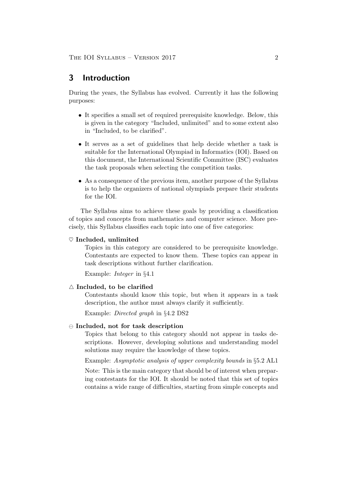# 3 Introduction

During the years, the Syllabus has evolved. Currently it has the following purposes:

- It specifies a small set of required prerequisite knowledge. Below, this is given in the category "Included, unlimited" and to some extent also in "Included, to be clarified".
- It serves as a set of guidelines that help decide whether a task is suitable for the International Olympiad in Informatics (IOI). Based on this document, the International Scientific Committee (ISC) evaluates the task proposals when selecting the competition tasks.
- As a consequence of the previous item, another purpose of the Syllabus is to help the organizers of national olympiads prepare their students for the IOI.

The Syllabus aims to achieve these goals by providing a classification of topics and concepts from mathematics and computer science. More precisely, this Syllabus classifies each topic into one of five categories:

#### $\heartsuit$  Included, unlimited

Topics in this category are considered to be prerequisite knowledge. Contestants are expected to know them. These topics can appear in task descriptions without further clarification.

Example: Integer in §4.1

## $\triangle$  Included, to be clarified

Contestants should know this topic, but when it appears in a task description, the author must always clarify it sufficiently.

Example: Directed graph in §4.2 DS2

#### $\Theta$  Included, not for task description

Topics that belong to this category should not appear in tasks descriptions. However, developing solutions and understanding model solutions may require the knowledge of these topics.

Example: Asymptotic analysis of upper complexity bounds in §5.2 AL1

Note: This is the main category that should be of interest when preparing contestants for the IOI. It should be noted that this set of topics contains a wide range of difficulties, starting from simple concepts and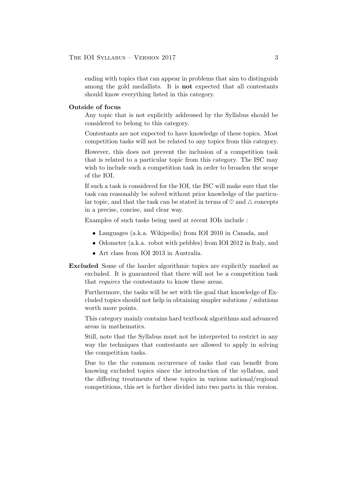ending with topics that can appear in problems that aim to distinguish among the gold medallists. It is not expected that all contestants should know everything listed in this category.

### Outside of focus

Any topic that is not explicitly addressed by the Syllabus should be considered to belong to this category.

Contestants are not expected to have knowledge of these topics. Most competition tasks will not be related to any topics from this category.

However, this does not prevent the inclusion of a competition task that is related to a particular topic from this category. The ISC may wish to include such a competition task in order to broaden the scope of the IOI.

If such a task is considered for the IOI, the ISC will make sure that the task can reasonably be solved without prior knowledge of the particular topic, and that the task can be stated in terms of  $\heartsuit$  and  $\triangle$  concepts in a precise, concise, and clear way.

Examples of such tasks being used at recent IOIs include :

- Languages (a.k.a. Wikipedia) from IOI 2010 in Canada, and
- Odometer (a.k.a. robot with pebbles) from IOI 2012 in Italy, and
- Art class from IOI 2013 in Australia.
- Excluded Some of the harder algorithmic topics are explicitly marked as excluded. It is guaranteed that there will not be a competition task that requires the contestants to know these areas.

Furthermore, the tasks will be set with the goal that knowledge of Excluded topics should not help in obtaining simpler solutions / solutions worth more points.

This category mainly contains hard textbook algorithms and advanced areas in mathematics.

Still, note that the Syllabus must not be interpreted to restrict in any way the techniques that contestants are allowed to apply in solving the competition tasks.

Due to the the common occurrence of tasks that can benefit from knowing excluded topics since the introduction of the syllabus, and the differing treatments of these topics in various national/regional competitions, this set is further divided into two parts in this version.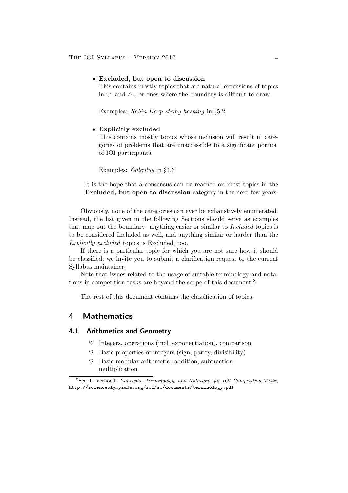#### • Excluded, but open to discussion

This contains mostly topics that are natural extensions of topics in  $\heartsuit$  and  $\triangle$ , or ones where the boundary is difficult to draw.

Examples: Rabin-Karp string hashing in §5.2

#### • Explicitly excluded

This contains mostly topics whose inclusion will result in categories of problems that are unaccessible to a significant portion of IOI participants.

Examples: Calculus in §4.3

It is the hope that a consensus can be reached on most topics in the Excluded, but open to discussion category in the next few years.

Obviously, none of the categories can ever be exhaustively enumerated. Instead, the list given in the following Sections should serve as examples that map out the boundary: anything easier or similar to Included topics is to be considered Included as well, and anything similar or harder than the Explicitly excluded topics is Excluded, too.

If there is a particular topic for which you are not sure how it should be classified, we invite you to submit a clarification request to the current Syllabus maintainer.

Note that issues related to the usage of suitable terminology and notations in competition tasks are beyond the scope of this document.<sup>8</sup>

The rest of this document contains the classification of topics.

# 4 Mathematics

# 4.1 Arithmetics and Geometry

- $\heartsuit$  Integers, operations (incl. exponentiation), comparison
- $\heartsuit$  Basic properties of integers (sign, parity, divisibility)
- $\heartsuit$  Basic modular arithmetic: addition, subtraction, multiplication

 $8$ See T. Verhoeff: Concepts, Terminology, and Notations for IOI Competition Tasks, http://scienceolympiads.org/ioi/sc/documents/terminology.pdf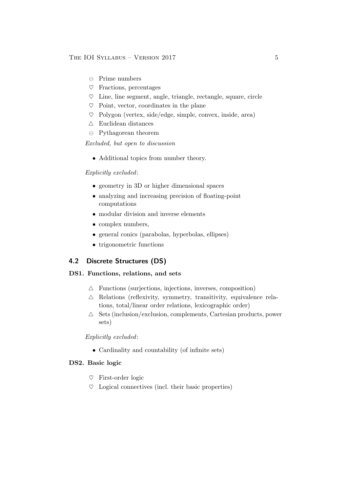### THE IOI SYLLABUS – VERSION 2017 5

- $\ominus$  Prime numbers
- $\heartsuit$  Fractions, percentages
- $\heartsuit$  Line, line segment, angle, triangle, rectangle, square, circle
- $\heartsuit$  Point, vector, coordinates in the plane
- $\heartsuit$  Polygon (vertex, side/edge, simple, convex, inside, area)
- $\triangle~$  Euclidean distances
- $\ominus$  Pythagorean theorem

Excluded, but open to discussion

• Additional topics from number theory.

### Explicitly excluded:

- geometry in 3D or higher dimensional spaces
- analyzing and increasing precision of floating-point computations
- modular division and inverse elements
- complex numbers,
- general conics (parabolas, hyperbolas, ellipses)
- trigonometric functions

# 4.2 Discrete Structures (DS)

# DS1. Functions, relations, and sets

- $\triangle$  Functions (surjections, injections, inverses, composition)
- $\triangle$  Relations (reflexivity, symmetry, transitivity, equivalence relations, total/linear order relations, lexicographic order)
- $\triangle$  Sets (inclusion/exclusion, complements, Cartesian products, power sets)

Explicitly excluded:

• Cardinality and countability (of infinite sets)

# DS2. Basic logic

- $\heartsuit$  First-order logic
- $\heartsuit$  Logical connectives (incl. their basic properties)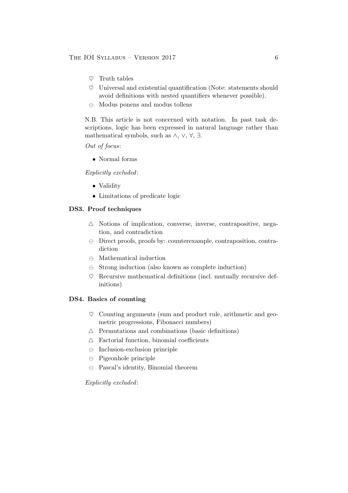- $\heartsuit$  Truth tables
- $\heartsuit$  Universal and existential quantification (Note: statements should avoid definitions with nested quantifiers whenever possible).
- $\ominus$  Modus ponens and modus tollens

N.B. This article is not concerned with notation. In past task descriptions, logic has been expressed in natural language rather than mathematical symbols, such as  $\wedge$ ,  $\vee$ ,  $\forall$ ,  $\exists$ .

Out of focus:

• Normal forms

Explicitly excluded:

- Validity
- Limitations of predicate logic

# DS3. Proof techniques

- $\triangle$  Notions of implication, converse, inverse, contrapositive, negation, and contradiction
- $\Theta$  Direct proofs, proofs by: counterexample, contraposition, contradiction
- $\ominus$  Mathematical induction
- $\Theta$  Strong induction (also known as complete induction)
- $\heartsuit$  Recursive mathematical definitions (incl. mutually recursive definitions)

## DS4. Basics of counting

- $\heartsuit$  Counting arguments (sum and product rule, arithmetic and geometric progressions, Fibonacci numbers)
- $\triangle$  Permutations and combinations (basic definitions)
- $\triangle$  Factorial function, binomial coefficients
- $\ominus$  Inclusion-exclusion principle
- $\ominus$  Pigeonhole principle
- $\Theta$  Pascal's identity, Binomial theorem

# Explicitly excluded: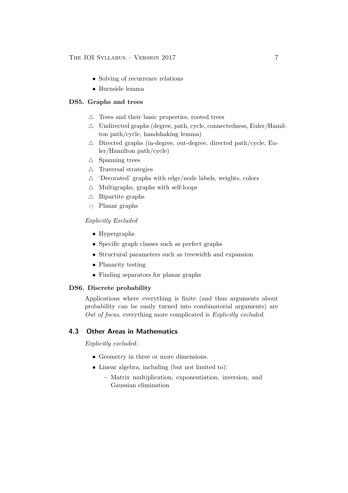- Solving of recurrence relations
- Burnside lemma

# DS5. Graphs and trees

- $\triangle$  Trees and their basic properties, rooted trees
- $\triangle$  Undirected graphs (degree, path, cycle, connectedness, Euler/Hamilton path/cycle, handshaking lemma)
- $\triangle$  Directed graphs (in-degree, out-degree, directed path/cycle, Euler/Hamilton path/cycle)
- $\triangle$  Spanning trees
- $\triangle$  Traversal strategies
- $\triangle$  'Decorated' graphs with edge/node labels, weights, colors
- $\triangle$  Multigraphs, graphs with self-loops
- $\triangle$  Bipartite graphs
- $\ominus$  Planar graphs

# Explicitly Excluded

- Hypergraphs
- Specific graph classes such as perfect graphs
- Structural parameters such as treewidth and expansion
- Planarity testing
- Finding separators for planar graphs

## DS6. Discrete probability

Applications where everything is finite (and thus arguments about probability can be easily turned into combinatorial arguments) are Out of focus, everything more complicated is Explicitly excluded.

# 4.3 Other Areas in Mathematics

Explicitly excluded:

- Geometry in three or more dimensions.
- Linear algebra, including (but not limited to):
	- Matrix multiplication, exponentiation, inversion, and Gaussian elimination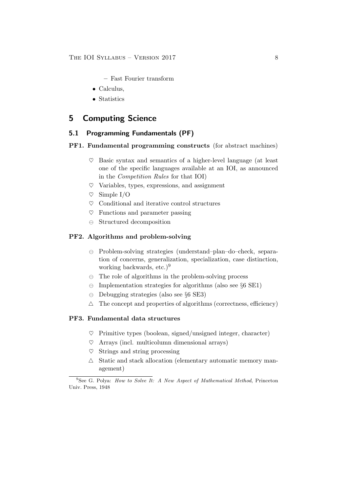- Fast Fourier transform
- Calculus,
- Statistics

# 5 Computing Science

# 5.1 Programming Fundamentals (PF)

### PF1. Fundamental programming constructs (for abstract machines)

- $\heartsuit$  Basic syntax and semantics of a higher-level language (at least one of the specific languages available at an IOI, as announced in the Competition Rules for that IOI)
- $\heartsuit$  Variables, types, expressions, and assignment
- $\heartsuit$  Simple I/O
- $\heartsuit$  Conditional and iterative control structures
- $\heartsuit$  Functions and parameter passing
- $\ominus$  Structured decomposition

## PF2. Algorithms and problem-solving

- $\ominus$  Problem-solving strategies (understand–plan–do–check, separation of concerns, generalization, specialization, case distinction, working backwards, etc.)<sup>9</sup>
- $\Theta$  The role of algorithms in the problem-solving process
- $\Theta$  Implementation strategies for algorithms (also see §6 SE1)
- $\ominus$  Debugging strategies (also see §6 SE3)
- $\triangle$  The concept and properties of algorithms (correctness, efficiency)

# PF3. Fundamental data structures

- $\heartsuit$  Primitive types (boolean, signed/unsigned integer, character)
- $\heartsuit$  Arrays (incl. multicolumn dimensional arrays)
- $\heartsuit$  Strings and string processing
- $\triangle$  Static and stack allocation (elementary automatic memory management)

 $9$ See G. Polya: How to Solve It: A New Aspect of Mathematical Method, Princeton Univ. Press, 1948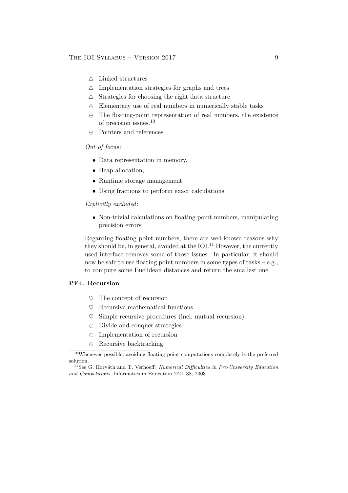#### THE IOI SYLLABUS – VERSION 2017 9

- $\triangle~$  Linked structures
- $\triangle$  Implementation strategies for graphs and trees
- $\triangle$  Strategies for choosing the right data structure
- $\ominus$  Elementary use of real numbers in numerically stable tasks
- $\Theta$  The floating-point representation of real numbers, the existence of precision issues.<sup>10</sup>
- $\ominus$  Pointers and references

# Out of focus:

- Data representation in memory,
- Heap allocation,
- Runtime storage management,
- Using fractions to perform exact calculations.

#### Explicitly excluded:

• Non-trivial calculations on floating point numbers, manipulating precision errors

Regarding floating point numbers, there are well-known reasons why they should be, in general, avoided at the  $IOI<sup>11</sup>$  However, the currently used interface removes some of those issues. In particular, it should now be safe to use floating point numbers in some types of tasks – e.g., to compute some Euclidean distances and return the smallest one.

#### PF4. Recursion

- $\heartsuit$  The concept of recursion
- $\heartsuit$  Recursive mathematical functions
- $\heartsuit$  Simple recursive procedures (incl. mutual recursion)
- $\ominus$  Divide-and-conquer strategies
- $\ominus$  Implementation of recursion
- $\ominus$  Recursive backtracking

<sup>10</sup>Whenever possible, avoiding floating point computations completely is the preferred solution.

 $11$ See G. Horváth and T. Verhoeff: *Numerical Difficulties in Pre-University Education* and Competitions, Informatics in Education 2:21–38, 2003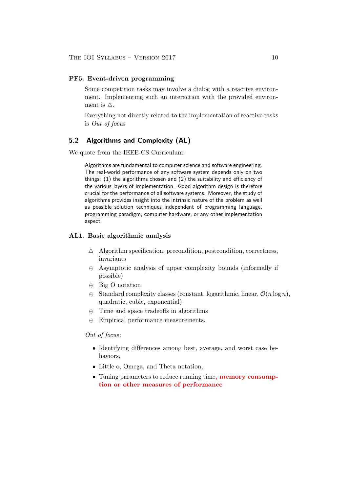#### PF5. Event-driven programming

Some competition tasks may involve a dialog with a reactive environment. Implementing such an interaction with the provided environment is  $\triangle$ .

Everything not directly related to the implementation of reactive tasks is Out of focus

# 5.2 Algorithms and Complexity (AL)

We quote from the IEEE-CS Curriculum:

Algorithms are fundamental to computer science and software engineering. The real-world performance of any software system depends only on two things: (1) the algorithms chosen and (2) the suitability and efficiency of the various layers of implementation. Good algorithm design is therefore crucial for the performance of all software systems. Moreover, the study of algorithms provides insight into the intrinsic nature of the problem as well as possible solution techniques independent of programming language, programming paradigm, computer hardware, or any other implementation aspect.

## AL1. Basic algorithmic analysis

- $\triangle$  Algorithm specification, precondition, postcondition, correctness, invariants
- $\Theta$  Asymptotic analysis of upper complexity bounds (informally if possible)
- $\ominus$  Big O notation
- $\Theta$  Standard complexity classes (constant, logarithmic, linear,  $\mathcal{O}(n \log n)$ ), quadratic, cubic, exponential)
- $\ominus$  Time and space tradeoffs in algorithms
- $\ominus$  Empirical performance measurements.

## Out of focus:

- Identifying differences among best, average, and worst case behaviors,
- Little o, Omega, and Theta notation,
- Tuning parameters to reduce running time, memory consumption or other measures of performance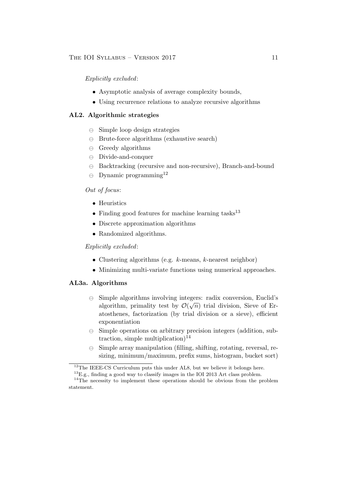Explicitly excluded:

- Asymptotic analysis of average complexity bounds,
- Using recurrence relations to analyze recursive algorithms

## AL2. Algorithmic strategies

- $\ominus$  Simple loop design strategies
- $\ominus$  Brute-force algorithms (exhaustive search)
- $\ominus$  Greedy algorithms
- Divide-and-conquer
- $\Theta$  Backtracking (recursive and non-recursive), Branch-and-bound
- $\Theta$  Dynamic programming<sup>12</sup>

# Out of focus:

- Heuristics
- Finding good features for machine learning tasks $^{13}$
- Discrete approximation algorithms
- Randomized algorithms.

# Explicitly excluded:

- Clustering algorithms (e.g.  $k$ -means,  $k$ -nearest neighbor)
- Minimizing multi-variate functions using numerical approaches.

## AL3a. Algorithms

- Simple algorithms involving integers: radix conversion, Euclid's √ algorithm, primality test by  $\mathcal{O}(\sqrt{n})$  trial division, Sieve of Eratosthenes, factorization (by trial division or a sieve), efficient exponentiation
- $\Theta$  Simple operations on arbitrary precision integers (addition, subtraction, simple multiplication $)^{14}$
- $\Theta$  Simple array manipulation (filling, shifting, rotating, reversal, resizing, minimum/maximum, prefix sums, histogram, bucket sort)

<sup>&</sup>lt;sup>12</sup>The IEEE-CS Curriculum puts this under AL8, but we believe it belongs here.

 $^{13}$ E.g., finding a good way to classify images in the IOI 2013 Art class problem.

<sup>&</sup>lt;sup>14</sup>The necessity to implement these operations should be obvious from the problem statement.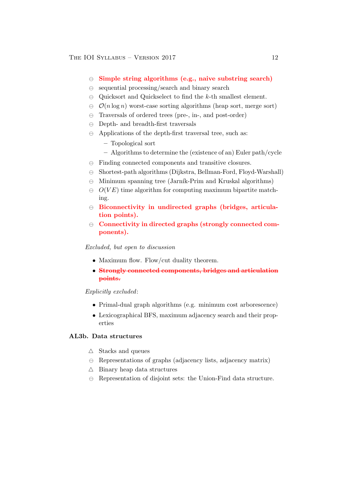- $\Theta$  Simple string algorithms (e.g., naive substring search)
- $\Theta$  sequential processing/search and binary search
- $\Theta$  Quicksort and Quickselect to find the k-th smallest element.
- $\Theta$   $\mathcal{O}(n \log n)$  worst-case sorting algorithms (heap sort, merge sort)
- $\Theta$  Traversals of ordered trees (pre-, in-, and post-order)
- $\ominus$  Depth- and breadth-first traversals
- $\Theta$  Applications of the depth-first traversal tree, such as:
	- Topological sort
	- Algorithms to determine the (existence of an) Euler path/cycle
- $\ominus$  Finding connected components and transitive closures.
- $\ominus$  Shortest-path algorithms (Dijkstra, Bellman-Ford, Floyd-Warshall)
- $\Theta$  Minimum spanning tree (Jarník-Prim and Kruskal algorithms)
- $\Theta$   $O(VE)$  time algorithm for computing maximum bipartite matching.
- $\Theta$  Biconnectivity in undirected graphs (bridges, articulation points).
- $\Theta$  Connectivity in directed graphs (strongly connected components).

#### Excluded, but open to discussion

- Maximum flow. Flow/cut duality theorem.
- Strongly connected components, bridges and articulation points.

# Explicitly excluded:

- Primal-dual graph algorithms (e.g. minimum cost arborescence)
- Lexicographical BFS, maximum adjacency search and their properties

### AL3b. Data structures

- $\triangle$  Stacks and queues
- $\Theta$  Representations of graphs (adjacency lists, adjacency matrix)
- $\triangle$  Binary heap data structures
- $\Theta$  Representation of disjoint sets: the Union-Find data structure.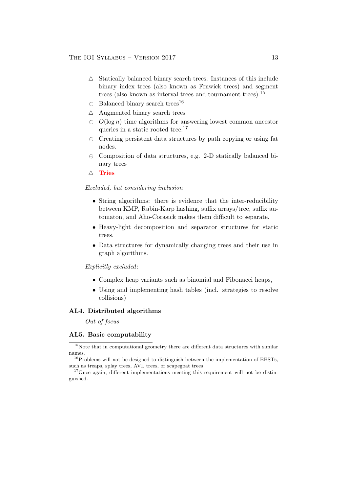- $\triangle$  Statically balanced binary search trees. Instances of this include binary index trees (also known as Fenwick trees) and segment trees (also known as interval trees and tournament trees).<sup>15</sup>
- $\Theta$  Balanced binary search trees<sup>16</sup>
- $\triangle$  Augmented binary search trees
- $\Theta$   $O(\log n)$  time algorithms for answering lowest common ancestor queries in a static rooted tree.<sup>17</sup>
- $\Theta$  Creating persistent data structures by path copying or using fat nodes.
- $\ominus$  Composition of data structures, e.g. 2-D statically balanced binary trees
- $\triangle$  Tries

#### Excluded, but considering inclusion

- String algorithms: there is evidence that the inter-reducibility between KMP, Rabin-Karp hashing, suffix arrays/tree, suffix automaton, and Aho-Corasick makes them difficult to separate.
- Heavy-light decomposition and separator structures for static trees.
- Data structures for dynamically changing trees and their use in graph algorithms.

## Explicitly excluded:

- Complex heap variants such as binomial and Fibonacci heaps,
- Using and implementing hash tables (incl. strategies to resolve collisions)

# AL4. Distributed algorithms

Out of focus

#### AL5. Basic computability

 $^{16}$ Problems will not be designed to distinguish between the implementation of BBSTs, such as treaps, splay trees, AVL trees, or scapegoat trees

<sup>17</sup>Once again, different implementations meeting this requirement will not be distinguished.

 $15$ Note that in computational geometry there are different data structures with similar names.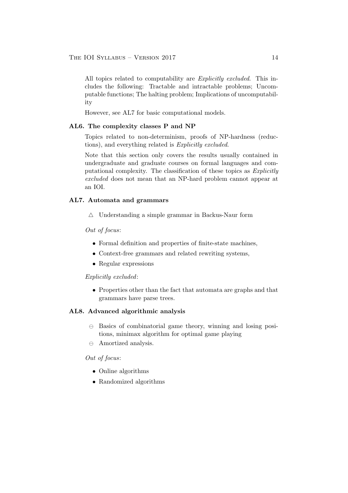All topics related to computability are *Explicitly excluded*. This includes the following: Tractable and intractable problems; Uncomputable functions; The halting problem; Implications of uncomputability

However, see AL7 for basic computational models.

### AL6. The complexity classes P and NP

Topics related to non-determinism, proofs of NP-hardness (reductions), and everything related is Explicitly excluded.

Note that this section only covers the results usually contained in undergraduate and graduate courses on formal languages and computational complexity. The classification of these topics as Explicitly excluded does not mean that an NP-hard problem cannot appear at an IOI.

#### AL7. Automata and grammars

 $\triangle$  Understanding a simple grammar in Backus-Naur form

#### Out of focus:

- Formal definition and properties of finite-state machines,
- Context-free grammars and related rewriting systems,
- Regular expressions

## Explicitly excluded:

• Properties other than the fact that automata are graphs and that grammars have parse trees.

# AL8. Advanced algorithmic analysis

- $\Theta$  Basics of combinatorial game theory, winning and losing positions, minimax algorithm for optimal game playing
- $\ominus$  Amortized analysis.

#### Out of focus:

- Online algorithms
- Randomized algorithms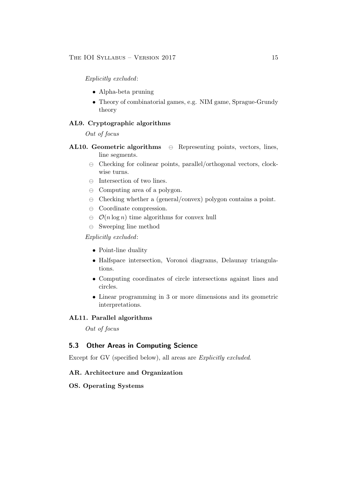Explicitly excluded:

- Alpha-beta pruning
- Theory of combinatorial games, e.g. NIM game, Sprague-Grundy theory

## AL9. Cryptographic algorithms

Out of focus

- AL10. Geometric algorithms  $\oplus$  Representing points, vectors, lines, line segments.
	- $\Theta$  Checking for colinear points, parallel/orthogonal vectors, clockwise turns.
	- $\ominus$  Intersection of two lines.
	- $\ominus$  Computing area of a polygon.
	- $\Theta$  Checking whether a (general/convex) polygon contains a point.
	- $\ominus$  Coordinate compression.
	- $\Theta$   $\mathcal{O}(n \log n)$  time algorithms for convex hull
	- $\ominus$  Sweeping line method

## Explicitly excluded:

- Point-line duality
- Halfspace intersection, Voronoi diagrams, Delaunay triangulations.
- Computing coordinates of circle intersections against lines and circles.
- Linear programming in 3 or more dimensions and its geometric interpretations.

# AL11. Parallel algorithms

Out of focus

# 5.3 Other Areas in Computing Science

Except for GV (specified below), all areas are Explicitly excluded.

#### AR. Architecture and Organization

## OS. Operating Systems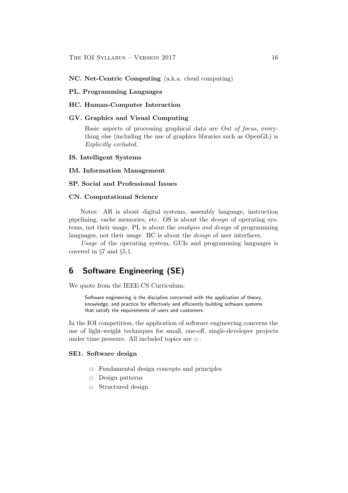#### NC. Net-Centric Computing (a.k.a. cloud computing)

#### PL. Programming Languages

# HC. Human-Computer Interaction

### GV. Graphics and Visual Computing

Basic aspects of processing graphical data are Out of focus, everything else (including the use of graphics libraries such as OpenGL) is Explicitly excluded.

#### IS. Intelligent Systems

#### IM. Information Management

#### SP. Social and Professional Issues

## CN. Computational Science

Notes: AR is about digital systems, assembly language, instruction pipelining, cache memories, etc. OS is about the design of operating systems, not their usage. PL is about the analysis and design of programming languages, not their usage. HC is about the *design* of user interfaces.

Usage of the operating system, GUIs and programming languages is covered in §7 and §5.1.

# 6 Software Engineering (SE)

We quote from the IEEE-CS Curriculum:

Software engineering is the discipline concerned with the application of theory, knowledge, and practice for effectively and efficiently building software systems that satisfy the requirements of users and customers.

In the IOI competition, the application of software engineering concerns the use of light-weight techniques for small, one-off, single-developer projects under time pressure. All included topics are  $\ominus$ .

#### SE1. Software design

- $\Theta$  Fundamental design concepts and principles
- $\ominus$  Design patterns
- $\ominus$  Structured design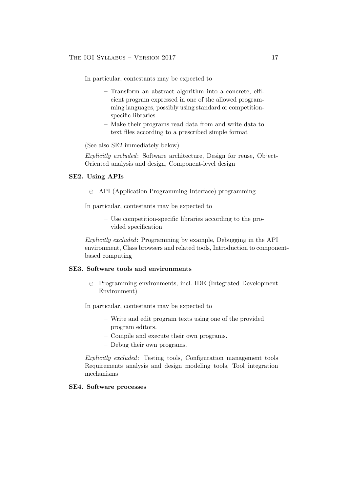In particular, contestants may be expected to

- Transform an abstract algorithm into a concrete, efficient program expressed in one of the allowed programming languages, possibly using standard or competitionspecific libraries.
- Make their programs read data from and write data to text files according to a prescribed simple format

(See also SE2 immediately below)

Explicitly excluded: Software architecture, Design for reuse, Object-Oriented analysis and design, Component-level design

## SE2. Using APIs

 $\ominus$  API (Application Programming Interface) programming

In particular, contestants may be expected to

– Use competition-specific libraries according to the provided specification.

Explicitly excluded: Programming by example, Debugging in the API environment, Class browsers and related tools, Introduction to componentbased computing

## SE3. Software tools and environments

 $\Theta$  Programming environments, incl. IDE (Integrated Development Environment)

In particular, contestants may be expected to

- Write and edit program texts using one of the provided program editors.
- Compile and execute their own programs.
- Debug their own programs.

Explicitly excluded: Testing tools, Configuration management tools Requirements analysis and design modeling tools, Tool integration mechanisms

### SE4. Software processes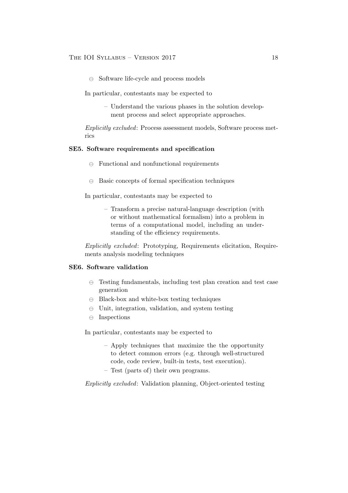$\ominus$  Software life-cycle and process models

In particular, contestants may be expected to

– Understand the various phases in the solution development process and select appropriate approaches.

Explicitly excluded: Process assessment models, Software process metrics

#### SE5. Software requirements and specification

- $\Theta$  Functional and nonfunctional requirements
- $\Theta$  Basic concepts of formal specification techniques

In particular, contestants may be expected to

– Transform a precise natural-language description (with or without mathematical formalism) into a problem in terms of a computational model, including an understanding of the efficiency requirements.

Explicitly excluded: Prototyping, Requirements elicitation, Requirements analysis modeling techniques

# SE6. Software validation

- $\Theta$  Testing fundamentals, including test plan creation and test case generation
- $\ominus$  Black-box and white-box testing techniques
- $\Theta$  Unit, integration, validation, and system testing
- $\ominus$  Inspections

In particular, contestants may be expected to

- Apply techniques that maximize the the opportunity to detect common errors (e.g. through well-structured code, code review, built-in tests, test execution).
- Test (parts of) their own programs.

Explicitly excluded: Validation planning, Object-oriented testing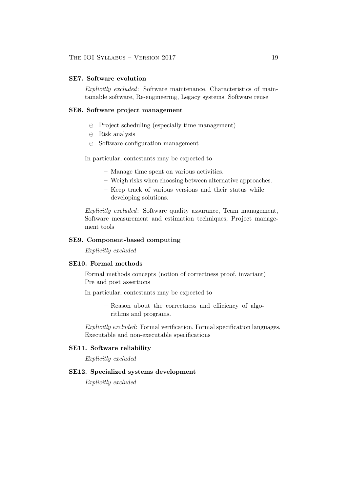### SE7. Software evolution

Explicitly excluded: Software maintenance, Characteristics of maintainable software, Re-engineering, Legacy systems, Software reuse

### SE8. Software project management

- $\ominus$  Project scheduling (especially time management)
- $\ominus$  Risk analysis
- $\ominus$  Software configuration management

In particular, contestants may be expected to

- Manage time spent on various activities.
- Weigh risks when choosing between alternative approaches.
- Keep track of various versions and their status while developing solutions.

Explicitly excluded: Software quality assurance, Team management, Software measurement and estimation techniques, Project management tools

# SE9. Component-based computing

Explicitly excluded

#### SE10. Formal methods

Formal methods concepts (notion of correctness proof, invariant) Pre and post assertions

In particular, contestants may be expected to

– Reason about the correctness and efficiency of algorithms and programs.

Explicitly excluded: Formal verification, Formal specification languages, Executable and non-executable specifications

#### SE11. Software reliability

Explicitly excluded

# SE12. Specialized systems development

Explicitly excluded